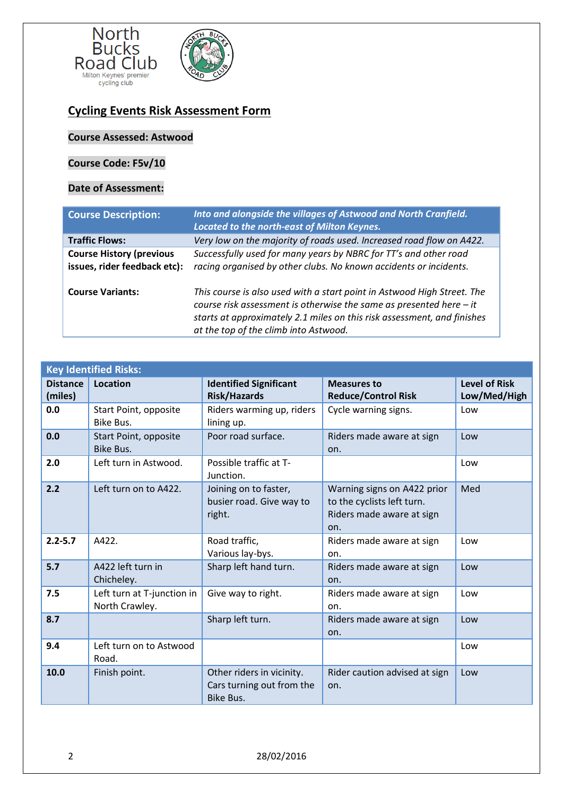

## **Cycling Events Risk Assessment Form**

## **Course Assessed: Astwood**

## **Course Code: F5v/10**

## **Date of Assessment:**

| <b>Course Description:</b>                                      | Into and alongside the villages of Astwood and North Cranfield.<br>Located to the north-east of Milton Keynes.                                                                                                                                                       |  |  |
|-----------------------------------------------------------------|----------------------------------------------------------------------------------------------------------------------------------------------------------------------------------------------------------------------------------------------------------------------|--|--|
| <b>Traffic Flows:</b>                                           | Very low on the majority of roads used. Increased road flow on A422.                                                                                                                                                                                                 |  |  |
| <b>Course History (previous</b><br>issues, rider feedback etc): | Successfully used for many years by NBRC for TT's and other road<br>racing organised by other clubs. No known accidents or incidents.                                                                                                                                |  |  |
| <b>Course Variants:</b>                                         | This course is also used with a start point in Astwood High Street. The<br>course risk assessment is otherwise the same as presented here $-$ it<br>starts at approximately 2.1 miles on this risk assessment, and finishes<br>at the top of the climb into Astwood. |  |  |

| <b>Key Identified Risks:</b> |                                              |                                                                     |                                                                                               |                                      |  |
|------------------------------|----------------------------------------------|---------------------------------------------------------------------|-----------------------------------------------------------------------------------------------|--------------------------------------|--|
| <b>Distance</b><br>(miles)   | <b>Location</b>                              | <b>Identified Significant</b><br><b>Risk/Hazards</b>                | <b>Measures to</b><br><b>Reduce/Control Risk</b>                                              | <b>Level of Risk</b><br>Low/Med/High |  |
| 0.0                          | Start Point, opposite<br>Bike Bus.           | Riders warming up, riders<br>lining up.                             | Cycle warning signs.                                                                          | Low                                  |  |
| 0.0                          | Start Point, opposite<br>Bike Bus.           | Poor road surface.                                                  | Riders made aware at sign<br>on.                                                              | Low                                  |  |
| 2.0                          | Left turn in Astwood.                        | Possible traffic at T-<br>Junction.                                 |                                                                                               | Low                                  |  |
| 2.2                          | Left turn on to A422.                        | Joining on to faster,<br>busier road. Give way to<br>right.         | Warning signs on A422 prior<br>to the cyclists left turn.<br>Riders made aware at sign<br>on. | Med                                  |  |
| $2.2 - 5.7$                  | A422.                                        | Road traffic,<br>Various lay-bys.                                   | Riders made aware at sign<br>on.                                                              | Low                                  |  |
| 5.7                          | A422 left turn in<br>Chicheley.              | Sharp left hand turn.                                               | Riders made aware at sign<br>on.                                                              | Low                                  |  |
| 7.5                          | Left turn at T-junction in<br>North Crawley. | Give way to right.                                                  | Riders made aware at sign<br>on.                                                              | Low                                  |  |
| 8.7                          |                                              | Sharp left turn.                                                    | Riders made aware at sign<br>on.                                                              | Low                                  |  |
| 9.4                          | Left turn on to Astwood<br>Road.             |                                                                     |                                                                                               | Low                                  |  |
| 10.0                         | Finish point.                                | Other riders in vicinity.<br>Cars turning out from the<br>Bike Bus. | Rider caution advised at sign<br>on.                                                          | Low                                  |  |